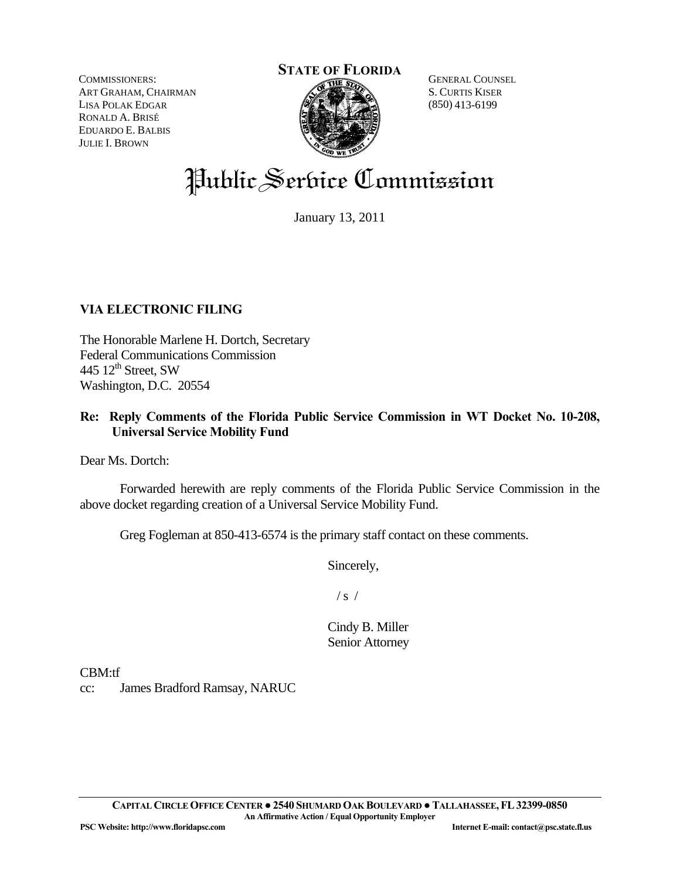**STATE OF FLORIDA**

COMMISSIONERS: ART GRAHAM, CHAIRMAN LISA POLAK EDGAR RONALD A. BRISÉ EDUARDO E. BALBIS JULIE I. BROWN



GENERAL COUNSEL S. CURTIS KISER (850) 413-6199

# Public Serbice Commission

January 13, 2011

## **VIA ELECTRONIC FILING**

The Honorable Marlene H. Dortch, Secretary Federal Communications Commission 445  $12^{\text{th}}$  Street, SW Washington, D.C. 20554

### **Re: Reply Comments of the Florida Public Service Commission in WT Docket No. 10-208, Universal Service Mobility Fund**

Dear Ms. Dortch:

 Forwarded herewith are reply comments of the Florida Public Service Commission in the above docket regarding creation of a Universal Service Mobility Fund.

Greg Fogleman at 850-413-6574 is the primary staff contact on these comments.

Sincerely,

 $/ s /$ 

Cindy B. Miller Senior Attorney

CBM:tf

cc: James Bradford Ramsay, NARUC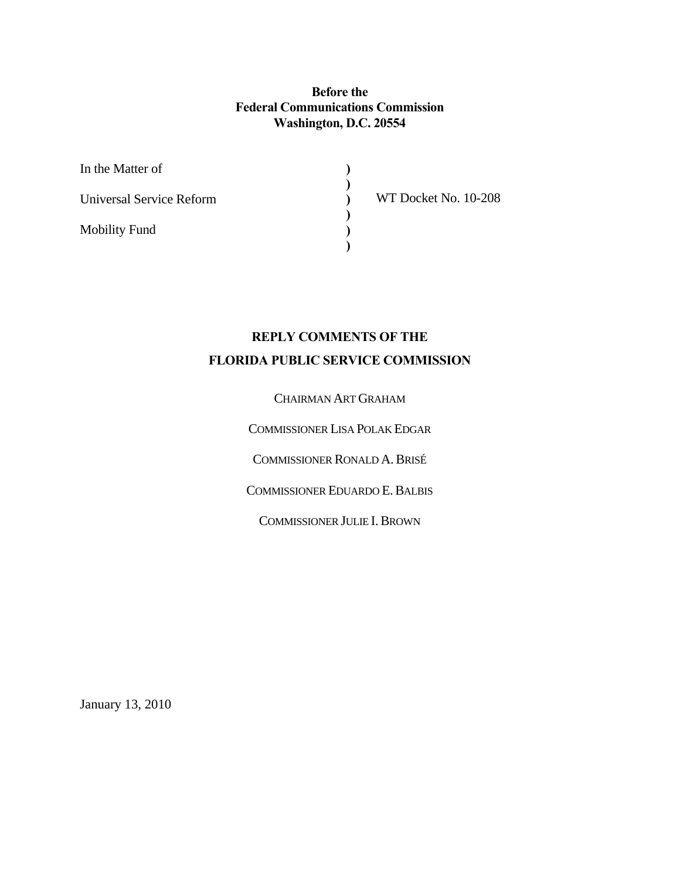**Before the Federal Communications Commission Washington, D.C. 20554** 

> **) ) ) ) ) )**

| In the Matter of         |  |
|--------------------------|--|
| Universal Service Reform |  |
| <b>Mobility Fund</b>     |  |

WT Docket No. 10-208

# **REPLY COMMENTS OF THE FLORIDA PUBLIC SERVICE COMMISSION**

#### CHAIRMAN ART GRAHAM

COMMISSIONER LISA POLAK EDGAR

COMMISSIONER RONALD A.BRISÉ

COMMISSIONER EDUARDO E.BALBIS

COMMISSIONER JULIE I.BROWN

January 13, 2010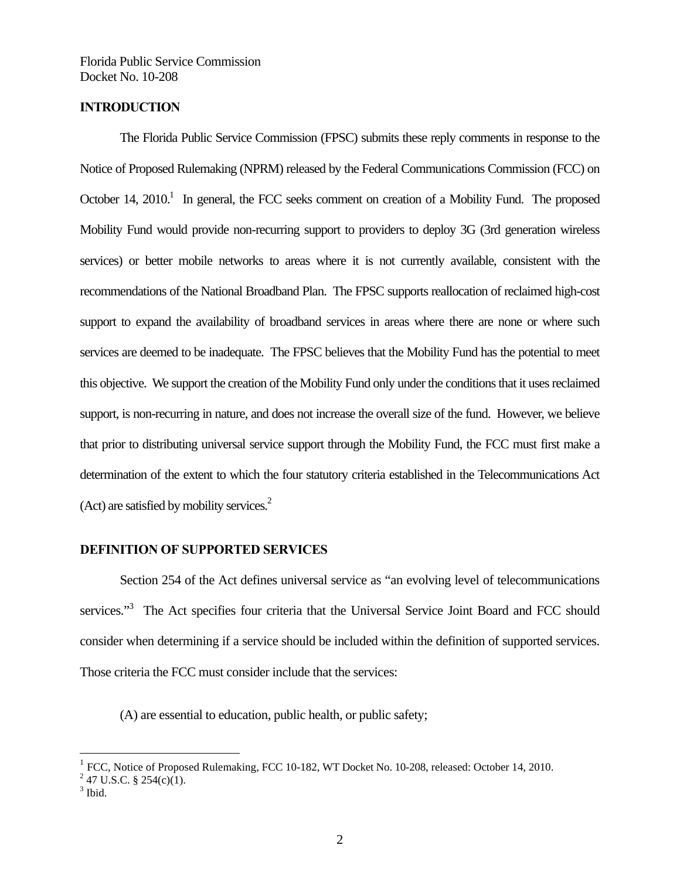#### **INTRODUCTION**

The Florida Public Service Commission (FPSC) submits these reply comments in response to the Notice of Proposed Rulemaking (NPRM) released by the Federal Communications Commission (FCC) on October 14, 2010.<sup>1</sup> In general, the FCC seeks comment on creation of a Mobility Fund. The proposed Mobility Fund would provide non-recurring support to providers to deploy 3G (3rd generation wireless services) or better mobile networks to areas where it is not currently available, consistent with the recommendations of the National Broadband Plan. The FPSC supports reallocation of reclaimed high-cost support to expand the availability of broadband services in areas where there are none or where such services are deemed to be inadequate. The FPSC believes that the Mobility Fund has the potential to meet this objective. We support the creation of the Mobility Fund only under the conditions that it uses reclaimed support, is non-recurring in nature, and does not increase the overall size of the fund. However, we believe that prior to distributing universal service support through the Mobility Fund, the FCC must first make a determination of the extent to which the four statutory criteria established in the Telecommunications Act (Act) are satisfied by mobility services. $2$ 

#### **DEFINITION OF SUPPORTED SERVICES**

 Section 254 of the Act defines universal service as "an evolving level of telecommunications services."<sup>3</sup> The Act specifies four criteria that the Universal Service Joint Board and FCC should consider when determining if a service should be included within the definition of supported services. Those criteria the FCC must consider include that the services:

(A) are essential to education, public health, or public safety;

1

<sup>&</sup>lt;sup>1</sup> FCC, Notice of Proposed Rulemaking, FCC 10-182, WT Docket No. 10-208, released: October 14, 2010.

<sup>&</sup>lt;sup>2</sup> 47 U.S.C. § 254(c)(1).

 $3$  Ibid.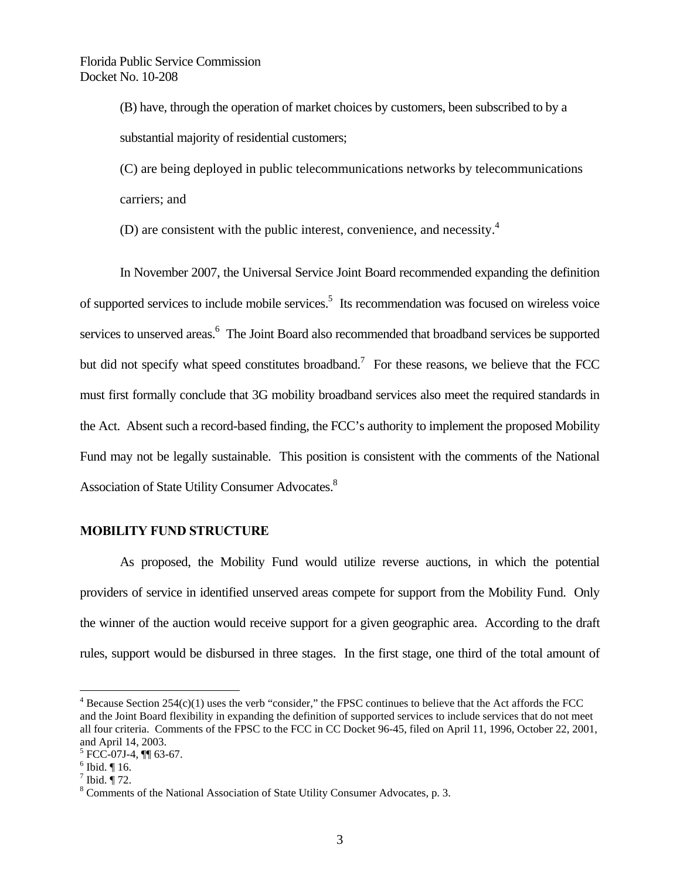(B) have, through the operation of market choices by customers, been subscribed to by a substantial majority of residential customers;

(C) are being deployed in public telecommunications networks by telecommunications carriers; and

(D) are consistent with the public interest, convenience, and necessity. $4$ 

 In November 2007, the Universal Service Joint Board recommended expanding the definition of supported services to include mobile services.<sup>5</sup> Its recommendation was focused on wireless voice services to unserved areas.<sup>6</sup> The Joint Board also recommended that broadband services be supported but did not specify what speed constitutes broadband.<sup>7</sup> For these reasons, we believe that the FCC must first formally conclude that 3G mobility broadband services also meet the required standards in the Act. Absent such a record-based finding, the FCC's authority to implement the proposed Mobility Fund may not be legally sustainable. This position is consistent with the comments of the National Association of State Utility Consumer Advocates.<sup>8</sup>

#### **MOBILITY FUND STRUCTURE**

 As proposed, the Mobility Fund would utilize reverse auctions, in which the potential providers of service in identified unserved areas compete for support from the Mobility Fund. Only the winner of the auction would receive support for a given geographic area. According to the draft rules, support would be disbursed in three stages. In the first stage, one third of the total amount of

 $\overline{a}$ 

 $4$  Because Section 254(c)(1) uses the verb "consider," the FPSC continues to believe that the Act affords the FCC and the Joint Board flexibility in expanding the definition of supported services to include services that do not meet all four criteria. Comments of the FPSC to the FCC in CC Docket 96-45, filed on April 11, 1996, October 22, 2001, and April 14, 2003.

 $5$  FCC-07J-4,  $\P\P$  63-67.

 $6$  Ibid.  $\P$  16.

 $^7$  Ibid.  $\P$  72.

<sup>&</sup>lt;sup>8</sup> Comments of the National Association of State Utility Consumer Advocates, p. 3.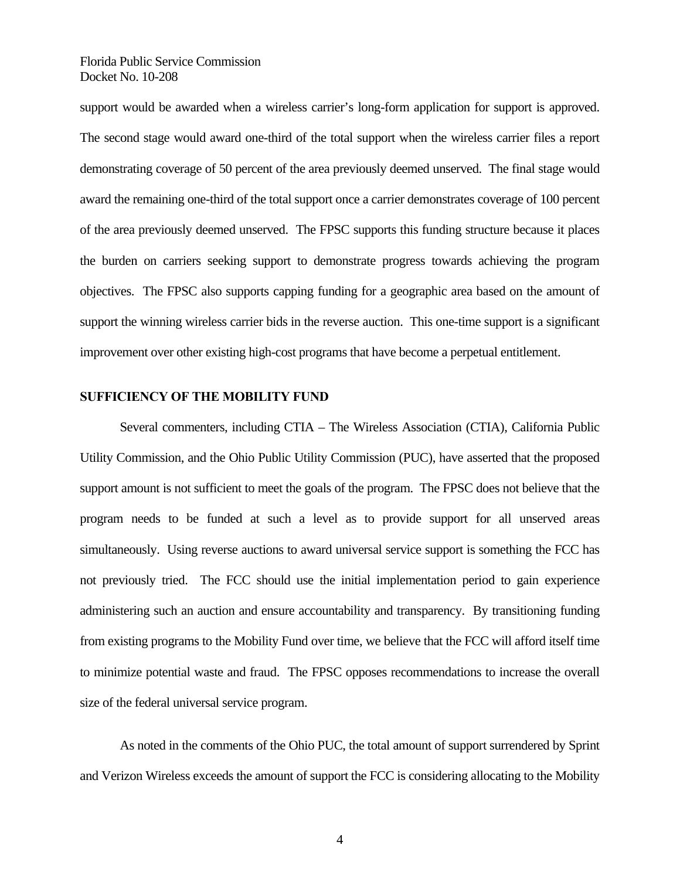support would be awarded when a wireless carrier's long-form application for support is approved. The second stage would award one-third of the total support when the wireless carrier files a report demonstrating coverage of 50 percent of the area previously deemed unserved. The final stage would award the remaining one-third of the total support once a carrier demonstrates coverage of 100 percent of the area previously deemed unserved. The FPSC supports this funding structure because it places the burden on carriers seeking support to demonstrate progress towards achieving the program objectives. The FPSC also supports capping funding for a geographic area based on the amount of support the winning wireless carrier bids in the reverse auction. This one-time support is a significant improvement over other existing high-cost programs that have become a perpetual entitlement.

#### **SUFFICIENCY OF THE MOBILITY FUND**

Several commenters, including CTIA – The Wireless Association (CTIA), California Public Utility Commission, and the Ohio Public Utility Commission (PUC), have asserted that the proposed support amount is not sufficient to meet the goals of the program. The FPSC does not believe that the program needs to be funded at such a level as to provide support for all unserved areas simultaneously. Using reverse auctions to award universal service support is something the FCC has not previously tried. The FCC should use the initial implementation period to gain experience administering such an auction and ensure accountability and transparency. By transitioning funding from existing programs to the Mobility Fund over time, we believe that the FCC will afford itself time to minimize potential waste and fraud. The FPSC opposes recommendations to increase the overall size of the federal universal service program.

As noted in the comments of the Ohio PUC, the total amount of support surrendered by Sprint and Verizon Wireless exceeds the amount of support the FCC is considering allocating to the Mobility

4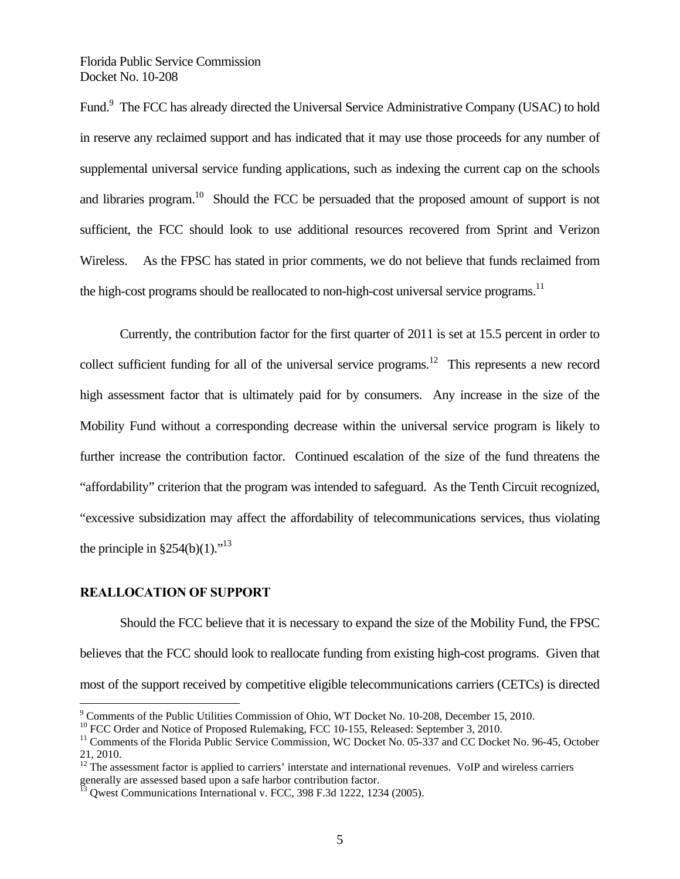Fund.<sup>9</sup> The FCC has already directed the Universal Service Administrative Company (USAC) to hold in reserve any reclaimed support and has indicated that it may use those proceeds for any number of supplemental universal service funding applications, such as indexing the current cap on the schools and libraries program.<sup>10</sup> Should the FCC be persuaded that the proposed amount of support is not sufficient, the FCC should look to use additional resources recovered from Sprint and Verizon Wireless. As the FPSC has stated in prior comments, we do not believe that funds reclaimed from the high-cost programs should be reallocated to non-high-cost universal service programs.<sup>11</sup>

Currently, the contribution factor for the first quarter of 2011 is set at 15.5 percent in order to collect sufficient funding for all of the universal service programs.<sup>12</sup> This represents a new record high assessment factor that is ultimately paid for by consumers. Any increase in the size of the Mobility Fund without a corresponding decrease within the universal service program is likely to further increase the contribution factor. Continued escalation of the size of the fund threatens the "affordability" criterion that the program was intended to safeguard. As the Tenth Circuit recognized, "excessive subsidization may affect the affordability of telecommunications services, thus violating the principle in  $\S 254(b)(1)$ ."<sup>13</sup>

#### **REALLOCATION OF SUPPORT**

 $\overline{a}$ 

Should the FCC believe that it is necessary to expand the size of the Mobility Fund, the FPSC believes that the FCC should look to reallocate funding from existing high-cost programs. Given that most of the support received by competitive eligible telecommunications carriers (CETCs) is directed

<sup>&</sup>lt;sup>9</sup> Comments of the Public Utilities Commission of Ohio, WT Docket No. 10-208, December 15, 2010.

 $10$  FCC Order and Notice of Proposed Rulemaking, FCC 10-155, Released: September 3, 2010.

 $11$  Comments of the Florida Public Service Commission, WC Docket No. 05-337 and CC Docket No. 96-45, October 21, 2010.

 $12$  The assessment factor is applied to carriers' interstate and international revenues. VoIP and wireless carriers generally are assessed based upon a safe harbor contribution factor.

Qwest Communications International v. FCC, 398 F.3d 1222, 1234 (2005).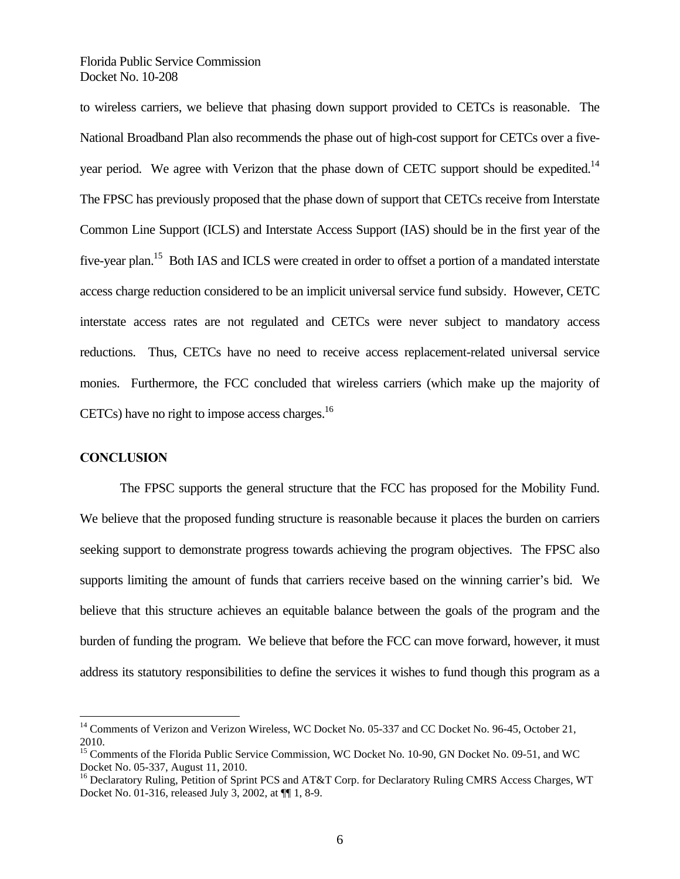to wireless carriers, we believe that phasing down support provided to CETCs is reasonable. The National Broadband Plan also recommends the phase out of high-cost support for CETCs over a fiveyear period. We agree with Verizon that the phase down of CETC support should be expedited.<sup>14</sup> The FPSC has previously proposed that the phase down of support that CETCs receive from Interstate Common Line Support (ICLS) and Interstate Access Support (IAS) should be in the first year of the five-year plan.<sup>15</sup> Both IAS and ICLS were created in order to offset a portion of a mandated interstate access charge reduction considered to be an implicit universal service fund subsidy. However, CETC interstate access rates are not regulated and CETCs were never subject to mandatory access reductions. Thus, CETCs have no need to receive access replacement-related universal service monies. Furthermore, the FCC concluded that wireless carriers (which make up the majority of CETCs) have no right to impose access charges. $^{16}$ 

#### **CONCLUSION**

 $\overline{a}$ 

 The FPSC supports the general structure that the FCC has proposed for the Mobility Fund. We believe that the proposed funding structure is reasonable because it places the burden on carriers seeking support to demonstrate progress towards achieving the program objectives. The FPSC also supports limiting the amount of funds that carriers receive based on the winning carrier's bid. We believe that this structure achieves an equitable balance between the goals of the program and the burden of funding the program. We believe that before the FCC can move forward, however, it must address its statutory responsibilities to define the services it wishes to fund though this program as a

<sup>&</sup>lt;sup>14</sup> Comments of Verizon and Verizon Wireless, WC Docket No. 05-337 and CC Docket No. 96-45, October 21, 2010.

<sup>&</sup>lt;sup>15</sup> Comments of the Florida Public Service Commission, WC Docket No. 10-90, GN Docket No. 09-51, and WC Docket No. 05-337, August 11, 2010.

<sup>&</sup>lt;sup>16</sup> Declaratory Ruling, Petition of Sprint PCS and AT&T Corp. for Declaratory Ruling CMRS Access Charges, WT Docket No. 01-316, released July 3, 2002, at ¶¶ 1, 8-9.